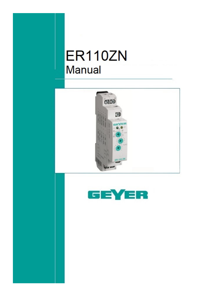## **ER110ZN Manual**



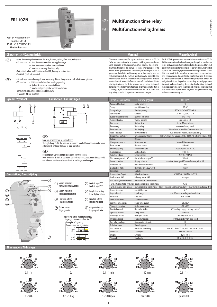





 $1 - 10h$ 



**1 1 10**

**1 10**  $\overline{\mathbf{m}}_{10}$ 

S

**1 10 ON OFF**

h d

0.1 - 1 Dag



0.1 - 1 min



**1 10 ON OFF 1 1 10 1 10**  $\mathbf{m}_{\mathbf{10}}$ S h d

1 - 10 min





 $0.1 - 1 h$ 



pauze ON pauze OFF

 $-1 -$